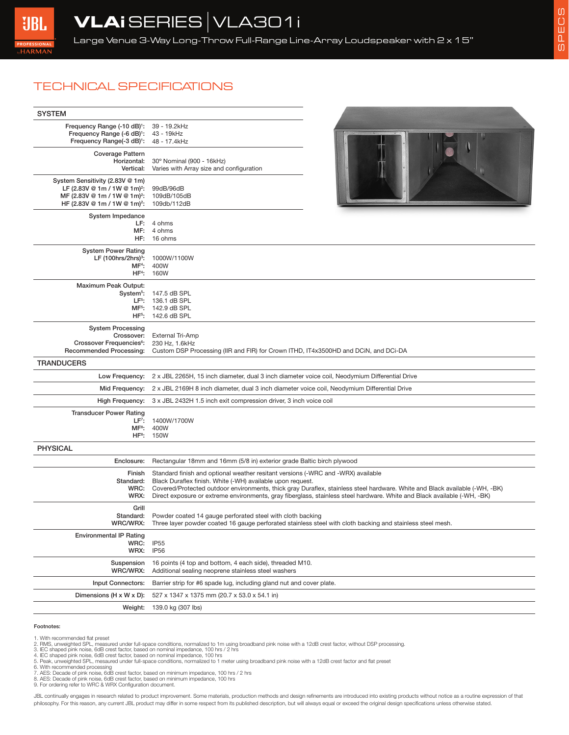## TECHNICAL SPECIFICATIONS

| <b>SYSTEM</b>                                                                                                                                                       |                                                                                                                                                                                                                                                                                                                                                                                                           |  |
|---------------------------------------------------------------------------------------------------------------------------------------------------------------------|-----------------------------------------------------------------------------------------------------------------------------------------------------------------------------------------------------------------------------------------------------------------------------------------------------------------------------------------------------------------------------------------------------------|--|
| Frequency Range (-10 dB) <sup>1</sup> :<br>Frequency Range (-6 dB) <sup>1</sup> :<br>Frequency Range(-3 dB) <sup>1</sup> :                                          | 39 - 19.2kHz<br>43 - 19kHz<br>48 - 17.4kHz                                                                                                                                                                                                                                                                                                                                                                |  |
| Coverage Pattern<br>Horizontal:<br>Vertical:                                                                                                                        | 30° Nominal (900 - 16kHz)<br>Varies with Array size and configuration                                                                                                                                                                                                                                                                                                                                     |  |
| System Sensitivity (2.83V @ 1m)<br>LF (2.83V @ 1m / 1W @ 1m) <sup>2</sup> :<br>MF (2.83V @ 1m / 1W @ 1m) <sup>2</sup> :<br>HF (2.83V @ 1m / 1W @ 1m) <sup>2</sup> : | 99dB/96dB<br>109dB/105dB<br>109db/112dB                                                                                                                                                                                                                                                                                                                                                                   |  |
| System Impedance<br>LF:<br>MF:<br>HF:                                                                                                                               | 4 ohms<br>4 ohms<br>16 ohms                                                                                                                                                                                                                                                                                                                                                                               |  |
| <b>System Power Rating</b><br>LF $(100 hrs/2hrs)^3$ :<br>MF <sup>4</sup> :<br>$HF4$ :                                                                               | 1000W/1100W<br>400W<br>160W                                                                                                                                                                                                                                                                                                                                                                               |  |
| Maximum Peak Output:<br>$HF5$ :                                                                                                                                     | System <sup>5</sup> : 147.5 dB SPL<br>LF <sup>5</sup> : 136.1 dB SPL<br>MF <sup>5</sup> : 142.9 dB SPL<br>142.6 dB SPL                                                                                                                                                                                                                                                                                    |  |
| <b>System Processing</b><br>Crossover:<br>Crossover Frequencies <sup>6</sup> :<br><b>Recommended Processing:</b>                                                    | <b>External Tri-Amp</b><br>230 Hz, 1.6kHz<br>Custom DSP Processing (IIR and FIR) for Crown ITHD, IT4x3500HD and DCiN, and DCi-DA                                                                                                                                                                                                                                                                          |  |
| <b>TRANDUCERS</b>                                                                                                                                                   |                                                                                                                                                                                                                                                                                                                                                                                                           |  |
| Mid Frequency:                                                                                                                                                      | Low Frequency: 2 x JBL 2265H, 15 inch diameter, dual 3 inch diameter voice coil, Neodymium Differential Drive<br>2 x JBL 2169H 8 inch diameter, dual 3 inch diameter voice coil, Neodymium Differential Drive                                                                                                                                                                                             |  |
| High Frequency:                                                                                                                                                     | 3 x JBL 2432H 1.5 inch exit compression driver, 3 inch voice coil                                                                                                                                                                                                                                                                                                                                         |  |
| <b>Transducer Power Rating</b><br>$LF7$ :<br>MF <sup>8</sup> :                                                                                                      | 1400W/1700W<br>400W<br>HF <sup>8</sup> : 150W                                                                                                                                                                                                                                                                                                                                                             |  |
| <b>PHYSICAL</b>                                                                                                                                                     |                                                                                                                                                                                                                                                                                                                                                                                                           |  |
| Enclosure:                                                                                                                                                          | Rectangular 18mm and 16mm (5/8 in) exterior grade Baltic birch plywood                                                                                                                                                                                                                                                                                                                                    |  |
| Finish<br>Standard:<br>WRC:<br>WRX:                                                                                                                                 | Standard finish and optional weather resitant versions (-WRC and -WRX) available<br>Black Duraflex finish. White (-WH) available upon request.<br>Covered/Protected outdoor environments, thick gray Duraflex, stainless steel hardware. White and Black available (-WH, -BK)<br>Direct exposure or extreme environments, gray fiberglass, stainless steel hardware. White and Black available (-WH, -BK) |  |
| Grill                                                                                                                                                               | Standard: Powder coated 14 gauge perforated steel with cloth backing<br>WRC/WRX: Three layer powder coated 16 gauge perforated stainless steel with cloth backing and stainless steel mesh.                                                                                                                                                                                                               |  |
| <b>Environmental IP Rating</b><br>WRC:<br>WRX:                                                                                                                      | IP <sub>55</sub><br><b>IP56</b>                                                                                                                                                                                                                                                                                                                                                                           |  |
| Suspension<br>WRC/WRX:                                                                                                                                              | 16 points (4 top and bottom, 4 each side), threaded M10.<br>Additional sealing neoprene stainless steel washers                                                                                                                                                                                                                                                                                           |  |
| <b>Input Connectors:</b>                                                                                                                                            | Barrier strip for #6 spade lug, including gland nut and cover plate.                                                                                                                                                                                                                                                                                                                                      |  |
| Dimensions (H x W x D):                                                                                                                                             | 527 x 1347 x 1375 mm (20.7 x 53.0 x 54.1 in)                                                                                                                                                                                                                                                                                                                                                              |  |
| Weight:                                                                                                                                                             | 139.0 kg (307 lbs)                                                                                                                                                                                                                                                                                                                                                                                        |  |

## Footnotes:

1. With recommended flat preset<br>2. RMS, unweighted SPL, measured under full-space conditions, normalized to 1m using broadband pink noise with a 12dB crest factor, without DSP processing.<br>3. IEC shaped pink noise, 6dB cres

- 
- 4. IEC shaped pink noise, 6dB crest factor, based on nominal impedance, 100 hrs<br>5. Peak, unweighted SPL, mesaured under full-space conditions, normalized to 1 meter using broadband pink noise with a 12dB crest factor and f
- 
- 
- 7. AES: Decade of pink noise, 6dB crest factor, based on minimum impedance, 100 hrs / 2 hrs<br>8. AES: Decade of pink noise, 6dB crest factor, based on minimum impedance, 100 hrs<br>9. For ordering refer to WRC & WRX Configurati
- 

JBL continually engages in research related to product improvement. Some materials, production methods and design refinements are introduced into existing products without notice as a routine expression of that philosophy. For this reason, any current JBL product may differ in some respect from its published description, but will always equal or exceed the original design specifications unless otherwise stated.